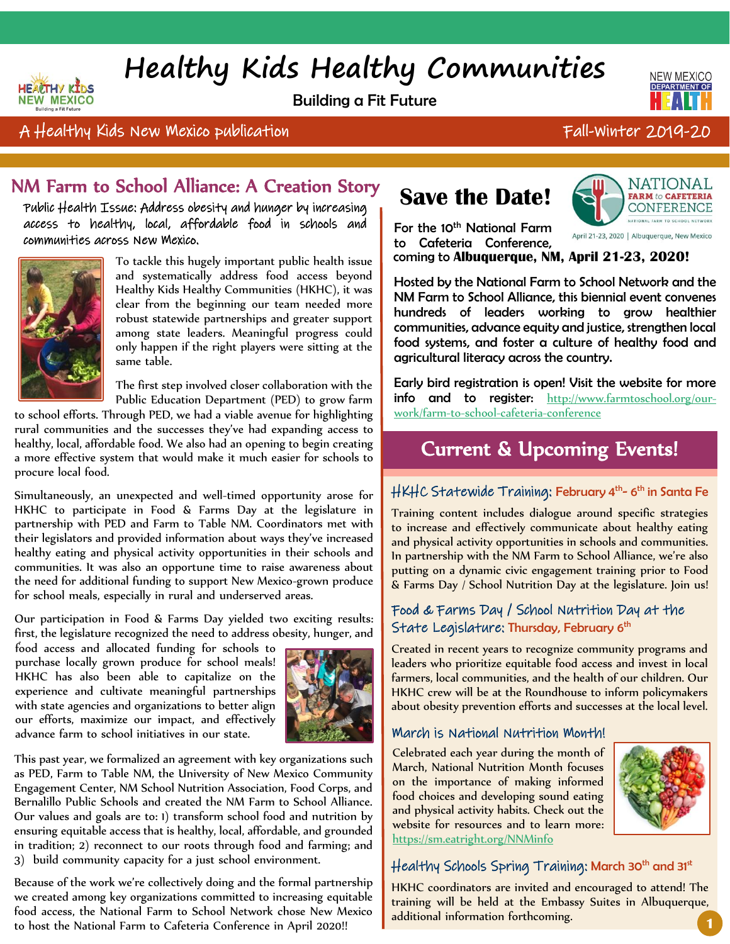# **Healthy Kids Healthy Communities**

Building a Fit Future



### A Healthy Kids New Mexico publication Fall-Winter 2019-20

# NM Farm to School Alliance: A Creation Story

Public Health Issue: Address obesity and hunger by increasing access to healthy, local, affordable food in schools and communities across New Mexico.



HEACTHY KIDS

**NEW MEXICO** 

To tackle this hugely important public health issue and systematically address food access beyond Healthy Kids Healthy Communities (HKHC), it was clear from the beginning our team needed more robust statewide partnerships and greater support among state leaders. Meaningful progress could only happen if the right players were sitting at the same table.

The first step involved closer collaboration with the Public Education Department (PED) to grow farm

to school efforts. Through PED, we had a viable avenue for highlighting rural communities and the successes they've had expanding access to healthy, local, affordable food. We also had an opening to begin creating a more effective system that would make it much easier for schools to procure local food.

Simultaneously, an unexpected and well-timed opportunity arose for HKHC to participate in Food & Farms Day at the legislature in partnership with PED and Farm to Table NM. Coordinators met with their legislators and provided information about ways they've increased healthy eating and physical activity opportunities in their schools and communities. It was also an opportune time to raise awareness about the need for additional funding to support New Mexico-grown produce for school meals, especially in rural and underserved areas.

Our participation in Food & Farms Day yielded two exciting results: first, the legislature recognized the need to address obesity, hunger, and

food access and allocated funding for schools to purchase locally grown produce for school meals! HKHC has also been able to capitalize on the experience and cultivate meaningful partnerships with state agencies and organizations to better align our efforts, maximize our impact, and effectively advance farm to school initiatives in our state.



This past year, we formalized an agreement with key organizations such as PED, Farm to Table NM, the University of New Mexico Community Engagement Center, NM School Nutrition Association, Food Corps, and Bernalillo Public Schools and created the NM Farm to School Alliance. Our values and goals are to: 1) transform school food and nutrition by ensuring equitable access that is healthy, local, affordable, and grounded in tradition; 2) reconnect to our roots through food and farming; and 3) build community capacity for a just school environment.

Because of the work we're collectively doing and the formal partnership we created among key organizations committed to increasing equitable food access, the National Farm to School Network chose New Mexico to host the National Farm to Cafeteria Conference in April 2020!!

# **Save the Date!**



For the 10<sup>th</sup> National Farm to Cafeteria Conference,

April 21-23, 2020 | Albuquerque, New Mexico

coming coming to **Albuquerque, NM, April 21-23, 2020!**

Hosted by the National Farm to School Network and the NM Farm to School Alliance, this biennial event convenes hundreds of leaders working to grow healthier communities, advance equity and justice, strengthen local food systems, and foster a culture of healthy food and agricultural literacy across the country.

Early bird registration is open! Visit the website for more info and to register: [http://www.farmtoschool.org/our](http://www.farmtoschool.org/our-work/farm-to-school-cafeteria-conference)[work/farm-to-school-cafeteria-conference](http://www.farmtoschool.org/our-work/farm-to-school-cafeteria-conference)

# Current & Upcoming Events!

#### HKHC Statewide Training: February 4<sup>th</sup>-6<sup>th</sup> in Santa Fe

Training content includes dialogue around specific strategies to increase and effectively communicate about healthy eating and physical activity opportunities in schools and communities. In partnership with the NM Farm to School Alliance, we're also putting on a dynamic civic engagement training prior to Food & Farms Day / School Nutrition Day at the legislature. Join us!

#### Food & Farms Day / School Nutrition Day at the State Legislature: Thursday, February 6<sup>th</sup>

Created in recent years to recognize community programs and leaders who prioritize equitable food access and invest in local farmers, local communities, and the health of our children. Our HKHC crew will be at the Roundhouse to inform policymakers about obesity prevention efforts and successes at the local level.

#### March is National Nutrition Month!

Celebrated each year during the month of March, National Nutrition Month focuses on the importance of making informed food choices and developing sound eating and physical activity habits. Check out the website for resources and to learn more: <https://sm.eatright.org/NNMinfo>



#### Healthy Schools Spring Training: March 30<sup>th</sup> and 31<sup>st</sup>

HKHC coordinators are invited and encouraged to attend! The training will be held at the Embassy Suites in Albuquerque, additional information forthcoming. **<sup>1</sup>**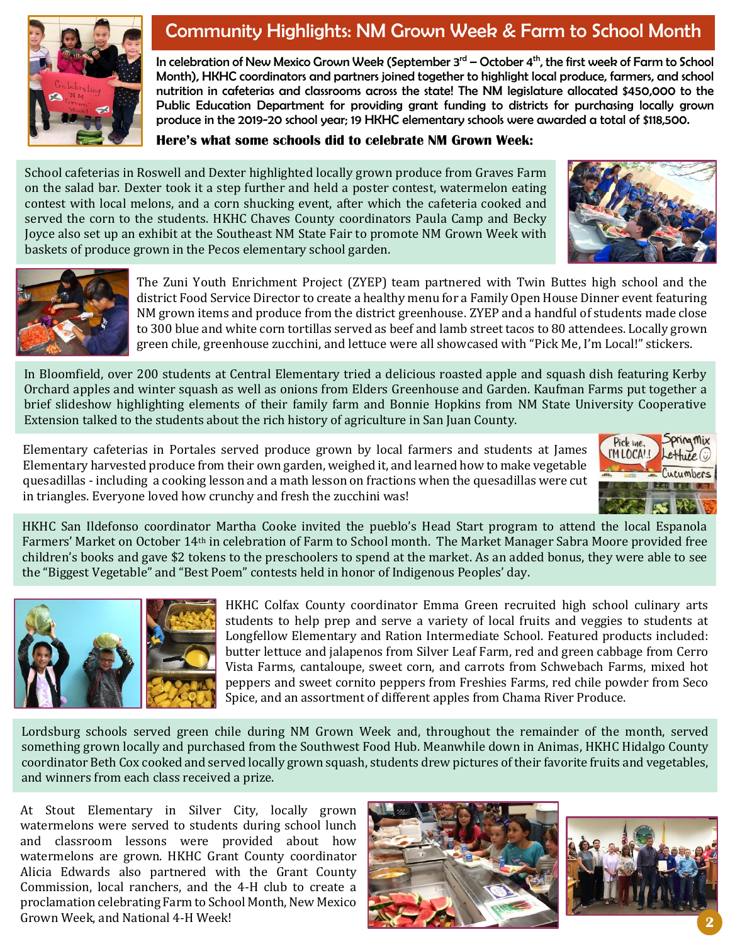

## Community Highlights: NM Grown Week & Farm to School Month

In celebration of New Mexico Grown Week (September 3rd – October 4<sup>th</sup>, the first week of Farm to School Month), HKHC coordinators and partners joined together to highlight local produce, farmers, and school nutrition in cafeterias and classrooms across the state! The NM legislature allocated \$450,000 to the Public Education Department for providing grant funding to districts for purchasing locally grown produce in the 2019-20 school year; 19 HKHC elementary schools were awarded a total of \$118,500.

**Here's what some schools did to celebrate NM Grown Week:**

School cafeterias in Roswell and Dexter highlighted locally grown produce from Graves Farm on the salad bar. Dexter took it a step further and held a poster contest, watermelon eating contest with local melons, and a corn shucking event, after which the cafeteria cooked and served the corn to the students. HKHC Chaves County coordinators Paula Camp and Becky Joyce also set up an exhibit at the Southeast NM State Fair to promote NM Grown Week with baskets of produce grown in the Pecos elementary school garden.





The Zuni Youth Enrichment Project (ZYEP) team partnered with Twin Buttes high school and the district Food Service Director to create a healthy menu for a Family Open House Dinner event featuring NM grown items and produce from the district greenhouse. ZYEP and a handful of students made close to 300 blue and white corn tortillas served as beef and lamb street tacos to 80 attendees. Locally grown green chile, greenhouse zucchini, and lettuce were all showcased with "Pick Me, I'm Local!" stickers.

In Bloomfield, over 200 students at Central Elementary tried a delicious roasted apple and squash dish featuring Kerby Orchard apples and winter squash as well as onions from Elders Greenhouse and Garden. Kaufman Farms put together a brief slideshow highlighting elements of their family farm and Bonnie Hopkins from NM State University Cooperative Extension talked to the students about the rich history of agriculture in San Juan County.

Elementary cafeterias in Portales served produce grown by local farmers and students at James Elementary harvested produce from their own garden, weighed it, and learned how to make vegetable quesadillas - including a cooking lesson and a math lesson on fractions when the quesadillas were cut in triangles. Everyone loved how crunchy and fresh the zucchini was!



HKHC San Ildefonso coordinator Martha Cooke invited the pueblo's Head Start program to attend the local Espanola Farmers' Market on October 14th in celebration of Farm to School month. The Market Manager Sabra Moore provided free children's books and gave \$2 tokens to the preschoolers to spend at the market. As an added bonus, they were able to see the "Biggest Vegetable" and "Best Poem" contests held in honor of Indigenous Peoples' day.



HKHC Colfax County coordinator Emma Green recruited high school culinary arts students to help prep and serve a variety of local fruits and veggies to students at Longfellow Elementary and Ration Intermediate School. Featured products included: butter lettuce and jalapenos from Silver Leaf Farm, red and green cabbage from Cerro Vista Farms, cantaloupe, sweet corn, and carrots from Schwebach Farms, mixed hot peppers and sweet cornito peppers from Freshies Farms, red chile powder from Seco Spice, and an assortment of different apples from Chama River Produce.

Lordsburg schools served green chile during NM Grown Week and, throughout the remainder of the month, served something grown locally and purchased from the Southwest Food Hub. Meanwhile down in Animas, HKHC Hidalgo County coordinator Beth Cox cooked and served locally grown squash, students drew pictures of their favorite fruits and vegetables, and winners from each class received a prize.

At Stout Elementary in Silver City, locally grown watermelons were served to students during school lunch and classroom lessons were provided about how watermelons are grown. HKHC Grant County coordinator Alicia Edwards also partnered with the Grant County Commission, local ranchers, and the 4-H club to create a proclamation celebrating Farm to School Month, New Mexico Grown Week, and National 4-H Week! **2**



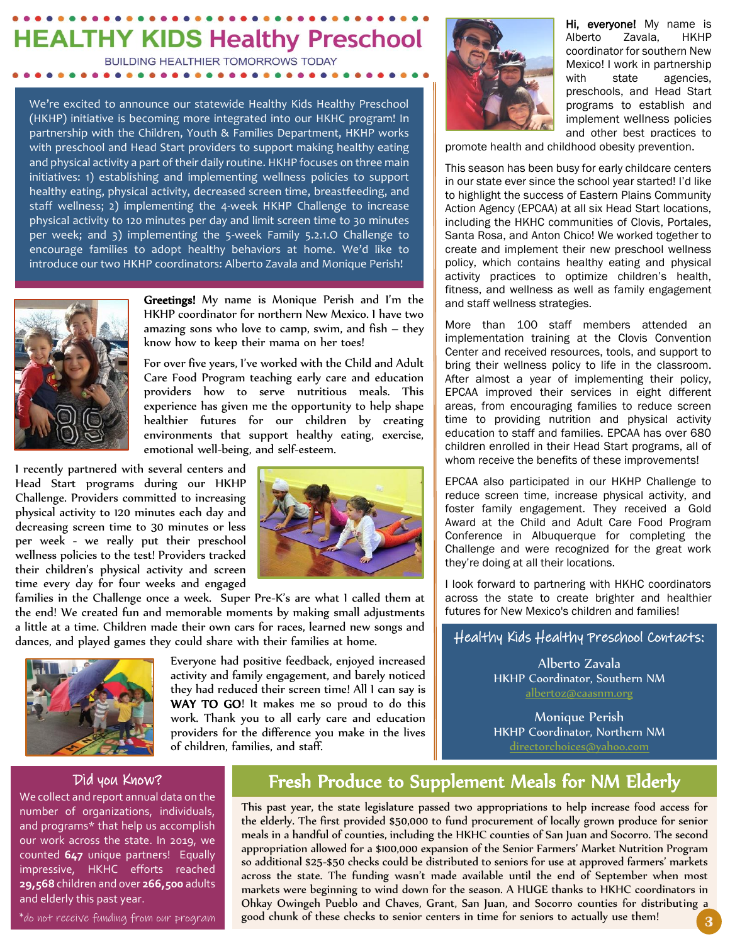# **HEALTHY KIDS Healthy Preschool**

**BUILDING HEALTHIER TOMORROWS TODAY** 

. . . . . . . . . . . . . . . .

We're excited to announce our statewide Healthy Kids Healthy Preschool (HKHP) initiative is becoming more integrated into our HKHC program! In partnership with the Children, Youth & Families Department, HKHP works with preschool and Head Start providers to support making healthy eating and physical activity a part of their daily routine. HKHP focuses on three main initiatives: 1) establishing and implementing wellness policies to support healthy eating, physical activity, decreased screen time, breastfeeding, and staff wellness; 2) implementing the 4-week HKHP Challenge to increase physical activity to 120 minutes per day and limit screen time to 30 minutes per week; and 3) implementing the 5-week Family 5.2.1.O Challenge to encourage families to adopt healthy behaviors at home. We'd like to introduce our two HKHP coordinators: Alberto Zavala and Monique Perish!



Greetings! My name is Monique Perish and I'm the HKHP coordinator for northern New Mexico. I have two amazing sons who love to camp, swim, and fish – they know how to keep their mama on her toes!

For over five years, I've worked with the Child and Adult Care Food Program teaching early care and education providers how to serve nutritious meals. This experience has given me the opportunity to help shape healthier futures for our children by creating environments that support healthy eating, exercise, emotional well-being, and self-esteem.

I recently partnered with several centers and Head Start programs during our HKHP Challenge. Providers committed to increasing physical activity to 120 minutes each day and decreasing screen time to 30 minutes or less per week - we really put their preschool wellness policies to the test! Providers tracked their children's physical activity and screen time every day for four weeks and engaged



families in the Challenge once a week. Super Pre-K's are what I called them at the end! We created fun and memorable moments by making small adjustments a little at a time. Children made their own cars for races, learned new songs and dances, and played games they could share with their families at home.



Everyone had positive feedback, enjoyed increased activity and family engagement, and barely noticed they had reduced their screen time! All I can say is WAY TO GO! It makes me so proud to do this work. Thank you to all early care and education providers for the difference you make in the lives of children, families, and staff.



Hi, everyone! My name is Alberto Zavala, HKHP coordinator for southern New Mexico! I work in partnership with state agencies, preschools, and Head Start programs to establish and implement wellness policies and other best practices to

promote health and childhood obesity prevention. promote

This season has been busy for early childcare centers in our state ever since the school year started! I'd like to highlight the success of Eastern Plains Community Action Agency (EPCAA) at all six Head Start locations, including the HKHC communities of Clovis, Portales, Santa Rosa, and Anton Chico! We worked together to create and implement their new preschool wellness policy, which contains healthy eating and physical activity practices to optimize children's health, fitness, and wellness as well as family engagement and staff wellness strategies.

More than 100 staff members attended an implementation training at the Clovis Convention Center and received resources, tools, and support to bring their wellness policy to life in the classroom. After almost a year of implementing their policy, EPCAA improved their services in eight different areas, from encouraging families to reduce screen time to providing nutrition and physical activity education to staff and families. EPCAA has over 680 children enrolled in their Head Start programs, all of whom receive the benefits of these improvements!

EPCAA also participated in our HKHP Challenge to reduce screen time, increase physical activity, and foster family engagement. They received a Gold Award at the Child and Adult Care Food Program Conference in Albuquerque for completing the Challenge and were recognized for the great work they're doing at all their locations.

I look forward to partnering with HKHC coordinators across the state to create brighter and healthier futures for New Mexico's children and families!

#### Healthy Kids Healthy Preschool Contacts:

Alberto Zavala HKHP Coordinator, Southern NM [albertoz@caasnm.org](mailto:albertoz@caasnm.org)

Monique Perish HKHP Coordinator, Northern NM [directorchoices@yahoo.com](mailto:directorchoices@yahoo.com)

#### Did you Know?

We collect and report annual data on the number of organizations, individuals, and programs\* that help us accomplish our work across the state. In 2019, we counted **647** unique partners! Equally impressive, HKHC efforts reached **29,568** children and over **266,500** adults and elderly this past year.

\*do not receive funding from our program

### Fresh Produce to Supplement Meals for NM Elderly

**3** This past year, the state legislature passed two appropriations to help increase food access for the elderly. The first provided \$50,000 to fund procurement of locally grown produce for senior meals in a handful of counties, including the HKHC counties of San Juan and Socorro. The second appropriation allowed for a \$100,000 expansion of the Senior Farmers' Market Nutrition Program so additional \$25-\$50 checks could be distributed to seniors for use at approved farmers' markets across the state. The funding wasn't made available until the end of September when most markets were beginning to wind down for the season. A HUGE thanks to HKHC coordinators in Ohkay Owingeh Pueblo and Chaves, Grant, San Juan, and Socorro counties for distributing a good chunk of these checks to senior centers in time for seniors to actually use them!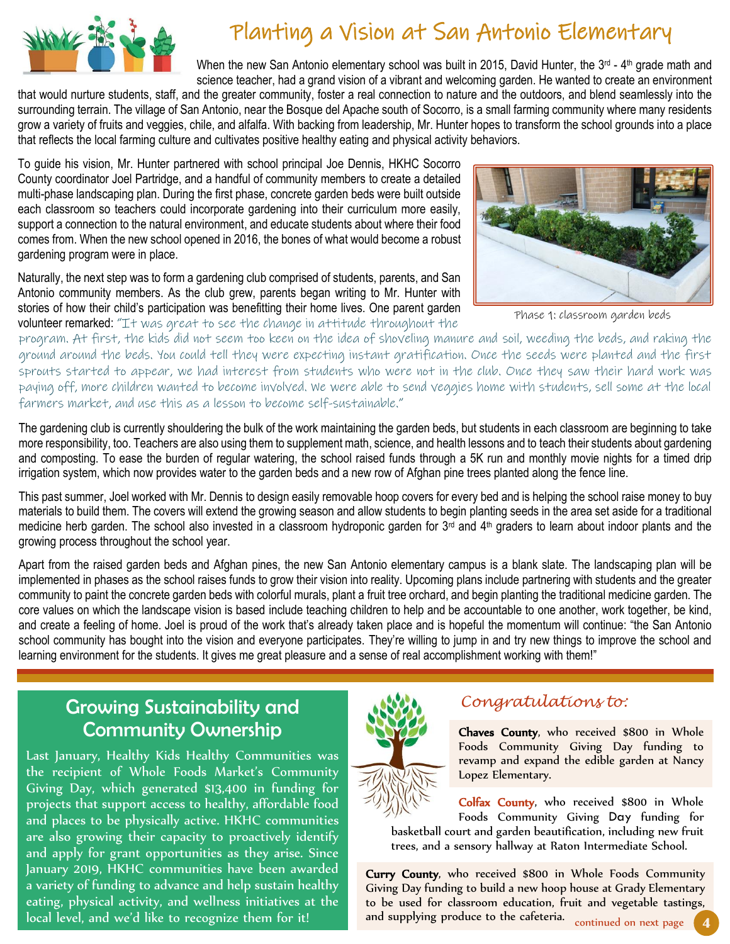

# Planting a Vision at San Antonio Elementary

When the new San Antonio elementary school was built in 2015, David Hunter, the 3<sup>rd</sup> - 4<sup>th</sup> grade math and science teacher, had a grand vision of a vibrant and welcoming garden. He wanted to create an environment

that would nurture students, staff, and the greater community, foster a real connection to nature and the outdoors, and blend seamlessly into the that surrounding terrain. The village of San Antonio, near the Bosque del Apache south of Socorro, is a small farming community where many residents grow a variety of fruits and veggies, chile, and alfalfa. With backing from leadership, Mr. Hunter hopes to transform the school grounds into a place that reflects the local farming culture and cultivates positive healthy eating and physical activity behaviors.

To guide his vision, Mr. Hunter partnered with school principal Joe Dennis, HKHC Socorro County coordinator Joel Partridge, and a handful of community members to create a detailed multi-phase landscaping plan. During the first phase, concrete garden beds were built outside each classroom so teachers could incorporate gardening into their curriculum more easily, support a connection to the natural environment, and educate students about where their food comes from. When the new school opened in 2016, the bones of what would become a robust gardening program were in place.

Naturally, the next step was to form a gardening club comprised of students, parents, and San Antonio community members. As the club grew, parents began writing to Mr. Hunter with stories of how their child's participation was benefitting their home lives. One parent garden siones of now their child's participation was benefitting their nome lives. One parent garden<br>volunteer remarked: "It was great to see the change in attitude throughout the



program. At first, the kids did not seem too keen on the idea of shoveling manure and soil, weeding the beds, and raking the ground around the beds. You could tell they were expecting instant gratification. Once the seeds were planted and the first sprouts started to appear, we had interest from students who were not in the club. Once they saw their hard work was paying off, more children wanted to become involved. We were able to send veggies home with students, sell some at the local farmers market, and use this as a lesson to become self-sustainable."

The gardening club is currently shouldering the bulk of the work maintaining the garden beds, but students in each classroom are beginning to take more responsibility, too. Teachers are also using them to supplement math, science, and health lessons and to teach their students about gardening and composting. To ease the burden of regular watering, the school raised funds through a 5K run and monthly movie nights for a timed drip irrigation system, which now provides water to the garden beds and a new row of Afghan pine trees planted along the fence line.

This past summer, Joel worked with Mr. Dennis to design easily removable hoop covers for every bed and is helping the school raise money to buy materials to build them. The covers will extend the growing season and allow students to begin planting seeds in the area set aside for a traditional medicine herb garden. The school also invested in a classroom hydroponic garden for  $3<sup>rd</sup>$  and  $4<sup>th</sup>$  graders to learn about indoor plants and the growing process throughout the school year.

Apart from the raised garden beds and Afghan pines, the new San Antonio elementary campus is a blank slate. The landscaping plan will be implemented in phases as the school raises funds to grow their vision into reality. Upcoming plans include partnering with students and the greater community to paint the concrete garden beds with colorful murals, plant a fruit tree orchard, and begin planting the traditional medicine garden. The core values on which the landscape vision is based include teaching children to help and be accountable to one another, work together, be kind, and create a feeling of home. Joel is proud of the work that's already taken place and is hopeful the momentum will continue: "the San Antonio school community has bought into the vision and everyone participates. They're willing to jump in and try new things to improve the school and learning environment for the students. It gives me great pleasure and a sense of real accomplishment working with them!"

### Growing Sustainability and Community Ownership

Last January, Healthy Kids Healthy Communities was the recipient of Whole Foods Market's Community Giving Day, which generated \$13,400 in funding for projects that support access to healthy, affordable food and places to be physically active. HKHC communities are also growing their capacity to proactively identify and apply for grant opportunities as they arise. Since January 2019, HKHC communities have been awarded a variety of funding to advance and help sustain healthy eating, physical activity, and wellness initiatives at the local level, and we'd like to recognize them for it!



#### *Congratulations to:*

Chaves County, who received \$800 in Whole Foods Community Giving Day funding to revamp and expand the edible garden at Nancy Lopez Elementary.

Colfax County, who received \$800 in Whole Foods Community Giving Day funding for basketball court and garden basketball court and garden beautification, including new fruit trees, and a sensory hallway at Raton Intermediate School.

**4** Curry County, who received \$800 in Whole Foods Community Giving Day funding to build a new hoop house at Grady Elementary to be used for classroom education, fruit and vegetable tastings, and supplying produce to the cafeteria. continued on next page